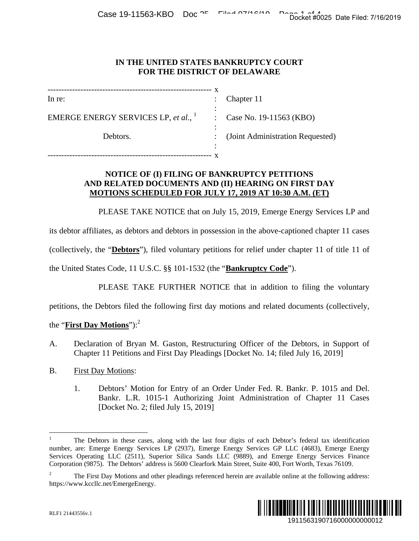## **IN THE UNITED STATES BANKRUPTCY COURT FOR THE DISTRICT OF DELAWARE**

|                                                                                                                                                                                                                                                                                                                               | Docket #0025 Date Filed: 7/16/2019                                                                                                                     |
|-------------------------------------------------------------------------------------------------------------------------------------------------------------------------------------------------------------------------------------------------------------------------------------------------------------------------------|--------------------------------------------------------------------------------------------------------------------------------------------------------|
| IN THE UNITED STATES BANKRUPTCY COURT<br>FOR THE DISTRICT OF DELAWARE                                                                                                                                                                                                                                                         |                                                                                                                                                        |
| In re:                                                                                                                                                                                                                                                                                                                        | Chapter 11                                                                                                                                             |
| EMERGE ENERGY SERVICES LP, et al., $\frac{1}{1}$ :                                                                                                                                                                                                                                                                            | Case No. 19-11563 (KBO)                                                                                                                                |
| Debtors.                                                                                                                                                                                                                                                                                                                      | (Joint Administration Requested)                                                                                                                       |
| <b>NOTICE OF (I) FILING OF BANKRUPTCY PETITIONS</b><br>AND RELATED DOCUMENTS AND (II) HEARING ON FIRST DAY<br><b>MOTIONS SCHEDULED FOR JULY 17, 2019 AT 10:30 A.M. (ET)</b>                                                                                                                                                   |                                                                                                                                                        |
|                                                                                                                                                                                                                                                                                                                               | PLEASE TAKE NOTICE that on July 15, 2019, Emerge Energy Services LP and                                                                                |
| its debtor affiliates, as debtors and debtors in possession in the above-captioned chapter 11 cases                                                                                                                                                                                                                           |                                                                                                                                                        |
| (collectively, the " <b>Debtors</b> "), filed voluntary petitions for relief under chapter 11 of title 11 of                                                                                                                                                                                                                  |                                                                                                                                                        |
| the United States Code, 11 U.S.C. §§ 101-1532 (the "Bankruptcy Code").                                                                                                                                                                                                                                                        |                                                                                                                                                        |
|                                                                                                                                                                                                                                                                                                                               | PLEASE TAKE FURTHER NOTICE that in addition to filing the voluntary                                                                                    |
| petitions, the Debtors filed the following first day motions and related documents (collectively,                                                                                                                                                                                                                             |                                                                                                                                                        |
| the " <b>First Day Motions</b> "): <sup>2</sup>                                                                                                                                                                                                                                                                               |                                                                                                                                                        |
| A.<br>Chapter 11 Petitions and First Day Pleadings [Docket No. 14; filed July 16, 2019]                                                                                                                                                                                                                                       | Declaration of Bryan M. Gaston, Restructuring Officer of the Debtors, in Support of                                                                    |
| <b>B.</b><br><b>First Day Motions:</b>                                                                                                                                                                                                                                                                                        |                                                                                                                                                        |
| 1.<br>[Docket No. 2; filed July 15, 2019]                                                                                                                                                                                                                                                                                     | Debtors' Motion for Entry of an Order Under Fed. R. Bankr. P. 1015 and Del.<br>Bankr. L.R. 1015-1 Authorizing Joint Administration of Chapter 11 Cases |
| 1<br>number, are: Emerge Energy Services LP (2937), Emerge Energy Services GP LLC (4683), Emerge Energy<br>Services Operating LLC (2511), Superior Silica Sands LLC (9889), and Emerge Energy Services Finance<br>Corporation (9875). The Debtors' address is 5600 Clearfork Main Street, Suite 400, Fort Worth, Texas 76109. | The Debtors in these cases, along with the last four digits of each Debtor's federal tax identification                                                |
| 2<br>https://www.kccllc.net/EmergeEnergy.                                                                                                                                                                                                                                                                                     | The First Day Motions and other pleadings referenced herein are available online at the following address:                                             |
| RLF1 21443556v.1                                                                                                                                                                                                                                                                                                              | IIIII<br>1911563190716000000000012                                                                                                                     |

## **NOTICE OF (I) FILING OF BANKRUPTCY PETITIONS AND RELATED DOCUMENTS AND (II) HEARING ON FIRST DAY MOTIONS SCHEDULED FOR JULY 17, 2019 AT 10:30 A.M. (ET)**

- A. Declaration of Bryan M. Gaston, Restructuring Officer of the Debtors, in Support of Chapter 11 Petitions and First Day Pleadings [Docket No. 14; filed July 16, 2019]
- B. First Day Motions:
	- 1. Debtors' Motion for Entry of an Order Under Fed. R. Bankr. P. 1015 and Del. Bankr. L.R. 1015-1 Authorizing Joint Administration of Chapter 11 Cases [Docket No. 2; filed July 15, 2019]

<sup>2</sup> The First Day Motions and other pleadings referenced herein are available online at the following address: https://www.kccllc.net/EmergeEnergy.



<sup>1</sup> The Debtors in these cases, along with the last four digits of each Debtor's federal tax identification number, are: Emerge Energy Services LP (2937), Emerge Energy Services GP LLC (4683), Emerge Energy Services Operating LLC (2511), Superior Silica Sands LLC (9889), and Emerge Energy Services Finance Corporation (9875). The Debtors' address is 5600 Clearfork Main Street, Suite 400, Fort Worth, Texas 76109.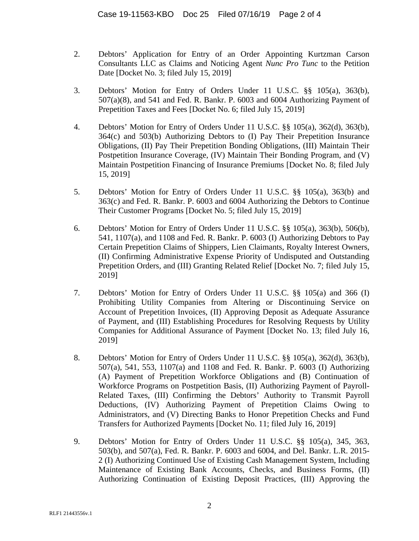- 2. Debtors' Application for Entry of an Order Appointing Kurtzman Carson Consultants LLC as Claims and Noticing Agent *Nunc Pro Tunc* to the Petition Date [Docket No. 3; filed July 15, 2019]
- 3. Debtors' Motion for Entry of Orders Under 11 U.S.C. §§ 105(a), 363(b),  $507(a)(8)$ , and  $541$  and Fed. R. Bankr. P.  $6003$  and  $6004$  Authorizing Payment of Prepetition Taxes and Fees [Docket No. 6; filed July 15, 2019]
- 4. Debtors' Motion for Entry of Orders Under 11 U.S.C. §§ 105(a), 362(d), 363(b), 364(c) and 503(b) Authorizing Debtors to (I) Pay Their Prepetition Insurance Obligations, (II) Pay Their Prepetition Bonding Obligations, (III) Maintain Their Postpetition Insurance Coverage, (IV) Maintain Their Bonding Program, and (V) Maintain Postpetition Financing of Insurance Premiums [Docket No. 8; filed July 15, 2019]
- 5. Debtors' Motion for Entry of Orders Under 11 U.S.C. §§ 105(a), 363(b) and 363(c) and Fed. R. Bankr. P. 6003 and 6004 Authorizing the Debtors to Continue Their Customer Programs [Docket No. 5; filed July 15, 2019]
- 6. Debtors' Motion for Entry of Orders Under 11 U.S.C. §§ 105(a), 363(b), 506(b), 541, 1107(a), and 1108 and Fed. R. Bankr. P. 6003 (I) Authorizing Debtors to Pay Certain Prepetition Claims of Shippers, Lien Claimants, Royalty Interest Owners, (II) Confirming Administrative Expense Priority of Undisputed and Outstanding Prepetition Orders, and (III) Granting Related Relief [Docket No. 7; filed July 15, 2019]
- 7. Debtors' Motion for Entry of Orders Under 11 U.S.C. §§ 105(a) and 366 (I) Prohibiting Utility Companies from Altering or Discontinuing Service on Account of Prepetition Invoices, (II) Approving Deposit as Adequate Assurance of Payment, and (III) Establishing Procedures for Resolving Requests by Utility Companies for Additional Assurance of Payment [Docket No. 13; filed July 16, 2019]
- 8. Debtors' Motion for Entry of Orders Under 11 U.S.C. §§ 105(a), 362(d), 363(b), 507(a), 541, 553, 1107(a) and 1108 and Fed. R. Bankr. P. 6003 (I) Authorizing (A) Payment of Prepetition Workforce Obligations and (B) Continuation of Workforce Programs on Postpetition Basis, (II) Authorizing Payment of Payroll-Related Taxes, (III) Confirming the Debtors' Authority to Transmit Payroll Deductions, (IV) Authorizing Payment of Prepetition Claims Owing to Administrators, and (V) Directing Banks to Honor Prepetition Checks and Fund Transfers for Authorized Payments [Docket No. 11; filed July 16, 2019]
- 9. Debtors' Motion for Entry of Orders Under 11 U.S.C. §§ 105(a), 345, 363, 503(b), and 507(a), Fed. R. Bankr. P. 6003 and 6004, and Del. Bankr. L.R. 2015- 2 (I) Authorizing Continued Use of Existing Cash Management System, Including Maintenance of Existing Bank Accounts, Checks, and Business Forms, (II) Authorizing Continuation of Existing Deposit Practices, (III) Approving the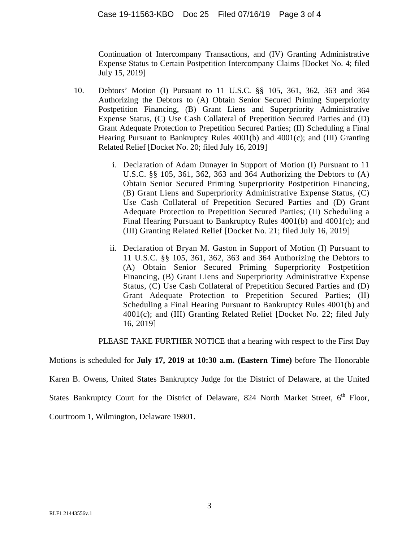Continuation of Intercompany Transactions, and (IV) Granting Administrative Expense Status to Certain Postpetition Intercompany Claims [Docket No. 4; filed July 15, 2019]

- 10. Debtors' Motion (I) Pursuant to 11 U.S.C. §§ 105, 361, 362, 363 and 364 Authorizing the Debtors to (A) Obtain Senior Secured Priming Superpriority Postpetition Financing, (B) Grant Liens and Superpriority Administrative Expense Status, (C) Use Cash Collateral of Prepetition Secured Parties and (D) Grant Adequate Protection to Prepetition Secured Parties; (II) Scheduling a Final Hearing Pursuant to Bankruptcy Rules 4001(b) and 4001(c); and (III) Granting Related Relief [Docket No. 20; filed July 16, 2019]
	- i. Declaration of Adam Dunayer in Support of Motion (I) Pursuant to 11 U.S.C. §§ 105, 361, 362, 363 and 364 Authorizing the Debtors to (A) Obtain Senior Secured Priming Superpriority Postpetition Financing, (B) Grant Liens and Superpriority Administrative Expense Status, (C) Use Cash Collateral of Prepetition Secured Parties and (D) Grant Adequate Protection to Prepetition Secured Parties; (II) Scheduling a Final Hearing Pursuant to Bankruptcy Rules 4001(b) and 4001(c); and (III) Granting Related Relief [Docket No. 21; filed July 16, 2019]
	- ii. Declaration of Bryan M. Gaston in Support of Motion (I) Pursuant to 11 U.S.C. §§ 105, 361, 362, 363 and 364 Authorizing the Debtors to (A) Obtain Senior Secured Priming Superpriority Postpetition Financing, (B) Grant Liens and Superpriority Administrative Expense Status, (C) Use Cash Collateral of Prepetition Secured Parties and (D) Grant Adequate Protection to Prepetition Secured Parties; (II) Scheduling a Final Hearing Pursuant to Bankruptcy Rules 4001(b) and 4001(c); and (III) Granting Related Relief [Docket No. 22; filed July 16, 2019]

PLEASE TAKE FURTHER NOTICE that a hearing with respect to the First Day

Motions is scheduled for **July 17, 2019 at 10:30 a.m. (Eastern Time)** before The Honorable

Karen B. Owens, United States Bankruptcy Judge for the District of Delaware, at the United

States Bankruptcy Court for the District of Delaware, 824 North Market Street, 6<sup>th</sup> Floor,

Courtroom 1, Wilmington, Delaware 19801.